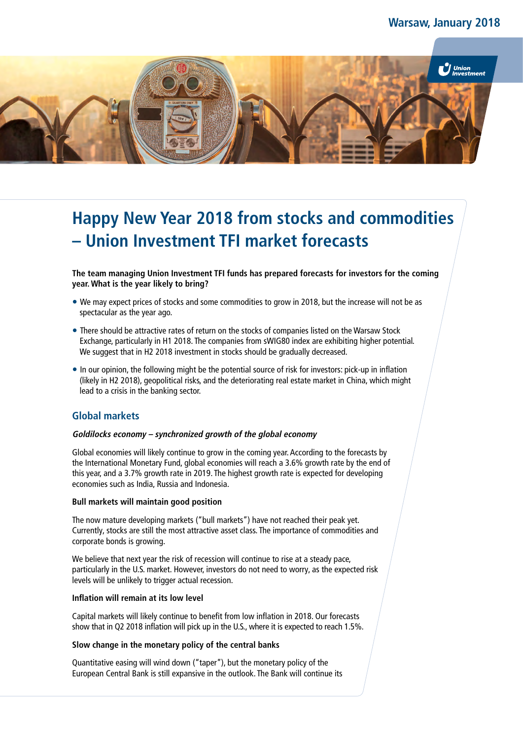

# **Happy New Year 2018 from stocks and commodities – Union Investment TFI market forecasts**

**The team managing Union Investment TFI funds has prepared forecasts for investors for the coming year. What is the year likely to bring?**

- We may expect prices of stocks and some commodities to grow in 2018, but the increase will not be as spectacular as the year ago.
- There should be attractive rates of return on the stocks of companies listed on the Warsaw Stock Exchange, particularly in H1 2018. The companies from sWIG80 index are exhibiting higher potential. We suggest that in H2 2018 investment in stocks should be gradually decreased.
- In our opinion, the following might be the potential source of risk for investors: pick-up in inflation (likely in H2 2018), geopolitical risks, and the deteriorating real estate market in China, which might lead to a crisis in the banking sector.

# **Global markets**

#### **Goldilocks economy – synchronized growth of the global economy**

Global economies will likely continue to grow in the coming year. According to the forecasts by the International Monetary Fund, global economies will reach a 3.6% growth rate by the end of this year, and a 3.7% growth rate in 2019. The highest growth rate is expected for developing economies such as India, Russia and Indonesia.

#### **Bull markets will maintain good position**

The now mature developing markets ("bull markets") have not reached their peak yet. Currently, stocks are still the most attractive asset class. The importance of commodities and corporate bonds is growing.

We believe that next year the risk of recession will continue to rise at a steady pace, particularly in the U.S. market. However, investors do not need to worry, as the expected risk levels will be unlikely to trigger actual recession.

#### **Inflation will remain at its low level**

Capital markets will likely continue to benefit from low inflation in 2018. Our forecasts show that in Q2 2018 inflation will pick up in the U.S., where it is expected to reach 1.5%.

#### **Slow change in the monetary policy of the central banks**

Quantitative easing will wind down ("taper"), but the monetary policy of the European Central Bank is still expansive in the outlook. The Bank will continue its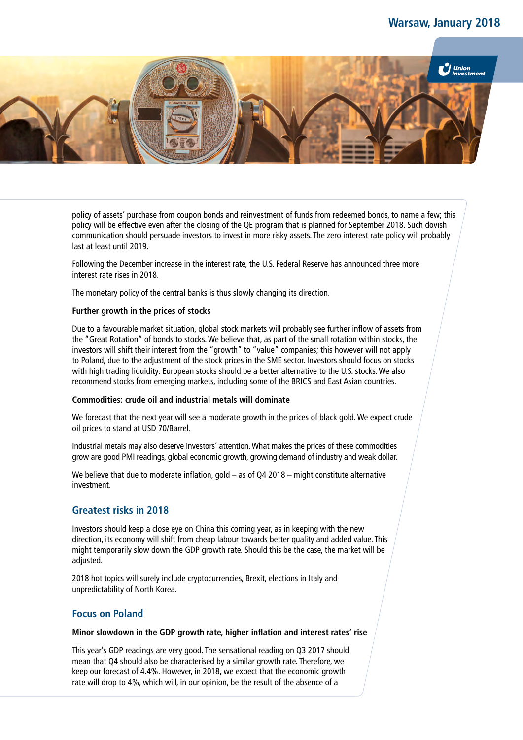# **Warsaw, January 2018**



policy of assets' purchase from coupon bonds and reinvestment of funds from redeemed bonds, to name a few; this policy will be effective even after the closing of the QE program that is planned for September 2018. Such dovish communication should persuade investors to invest in more risky assets. The zero interest rate policy will probably last at least until 2019.

Following the December increase in the interest rate, the U.S. Federal Reserve has announced three more interest rate rises in 2018.

The monetary policy of the central banks is thus slowly changing its direction.

#### **Further growth in the prices of stocks**

Due to a favourable market situation, global stock markets will probably see further inflow of assets from the "Great Rotation" of bonds to stocks. We believe that, as part of the small rotation within stocks, the investors will shift their interest from the "growth" to "value" companies; this however will not apply to Poland, due to the adjustment of the stock prices in the SME sector. Investors should focus on stocks with high trading liquidity. European stocks should be a better alternative to the U.S. stocks. We also recommend stocks from emerging markets, including some of the BRICS and East Asian countries.

#### **Commodities: crude oil and industrial metals will dominate**

We forecast that the next year will see a moderate growth in the prices of black gold. We expect crude oil prices to stand at USD 70/Barrel.

Industrial metals may also deserve investors' attention. What makes the prices of these commodities grow are good PMI readings, global economic growth, growing demand of industry and weak dollar.

We believe that due to moderate inflation, gold – as of Q4 2018 – might constitute alternative investment.

## **Greatest risks in 2018**

Investors should keep a close eye on China this coming year, as in keeping with the new direction, its economy will shift from cheap labour towards better quality and added value. This might temporarily slow down the GDP growth rate. Should this be the case, the market will be adjusted.

2018 hot topics will surely include cryptocurrencies, Brexit, elections in Italy and unpredictability of North Korea.

## **Focus on Poland**

#### **Minor slowdown in the GDP growth rate, higher inflation and interest rates' rise**

This year's GDP readings are very good. The sensational reading on Q3 2017 should mean that Q4 should also be characterised by a similar growth rate. Therefore, we keep our forecast of 4.4%. However, in 2018, we expect that the economic growth rate will drop to 4%, which will, in our opinion, be the result of the absence of a